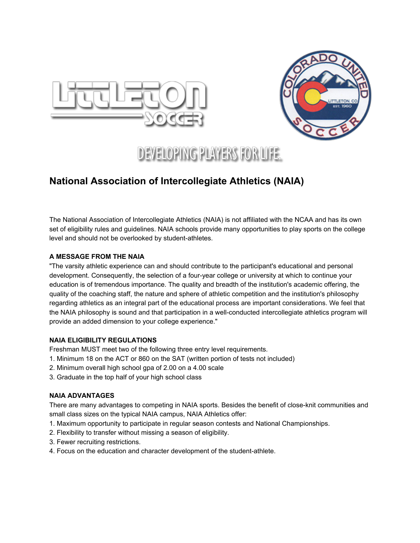



# **DEVELOPING PLAYERS FOR LIFE.**

# **National Association of Intercollegiate Athletics (NAIA)**

The National Association of Intercollegiate Athletics (NAIA) is not affiliated with the NCAA and has its own set of eligibility rules and guidelines. NAIA schools provide many opportunities to play sports on the college level and should not be overlooked by student-athletes.

## **A MESSAGE FROM THE NAIA**

"The varsity athletic experience can and should contribute to the participant's educational and personal development. Consequently, the selection of a four-year college or university at which to continue your education is of tremendous importance. The quality and breadth of the institution's academic offering, the quality of the coaching staff, the nature and sphere of athletic competition and the institution's philosophy regarding athletics as an integral part of the educational process are important considerations. We feel that the NAIA philosophy is sound and that participation in a well-conducted intercollegiate athletics program will provide an added dimension to your college experience."

# **NAIA ELIGIBILITY REGULATIONS**

Freshman MUST meet two of the following three entry level requirements.

- 1. Minimum 18 on the ACT or 860 on the SAT (written portion of tests not included)
- 2. Minimum overall high school gpa of 2.00 on a 4.00 scale
- 3. Graduate in the top half of your high school class

## **NAIA ADVANTAGES**

There are many advantages to competing in NAIA sports. Besides the benefit of close-knit communities and small class sizes on the typical NAIA campus, NAIA Athletics offer:

- 1. Maximum opportunity to participate in regular season contests and National Championships.
- 2. Flexibility to transfer without missing a season of eligibility.
- 3. Fewer recruiting restrictions.
- 4. Focus on the education and character development of the student-athlete.